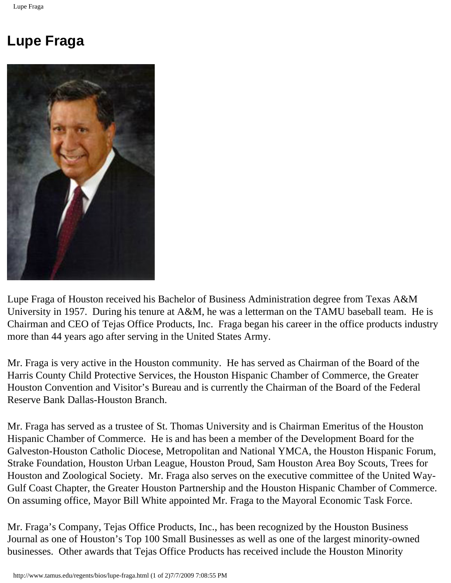## **Lupe Fraga**



Lupe Fraga of Houston received his Bachelor of Business Administration degree from Texas A&M University in 1957. During his tenure at A&M, he was a letterman on the TAMU baseball team. He is Chairman and CEO of Tejas Office Products, Inc. Fraga began his career in the office products industry more than 44 years ago after serving in the United States Army.

Mr. Fraga is very active in the Houston community. He has served as Chairman of the Board of the Harris County Child Protective Services, the Houston Hispanic Chamber of Commerce, the Greater Houston Convention and Visitor's Bureau and is currently the Chairman of the Board of the Federal Reserve Bank Dallas-Houston Branch.

Mr. Fraga has served as a trustee of St. Thomas University and is Chairman Emeritus of the Houston Hispanic Chamber of Commerce. He is and has been a member of the Development Board for the Galveston-Houston Catholic Diocese, Metropolitan and National YMCA, the Houston Hispanic Forum, Strake Foundation, Houston Urban League, Houston Proud, Sam Houston Area Boy Scouts, Trees for Houston and Zoological Society. Mr. Fraga also serves on the executive committee of the United Way-Gulf Coast Chapter, the Greater Houston Partnership and the Houston Hispanic Chamber of Commerce. On assuming office, Mayor Bill White appointed Mr. Fraga to the Mayoral Economic Task Force.

Mr. Fraga's Company, Tejas Office Products, Inc., has been recognized by the Houston Business Journal as one of Houston's Top 100 Small Businesses as well as one of the largest minority-owned businesses. Other awards that Tejas Office Products has received include the Houston Minority